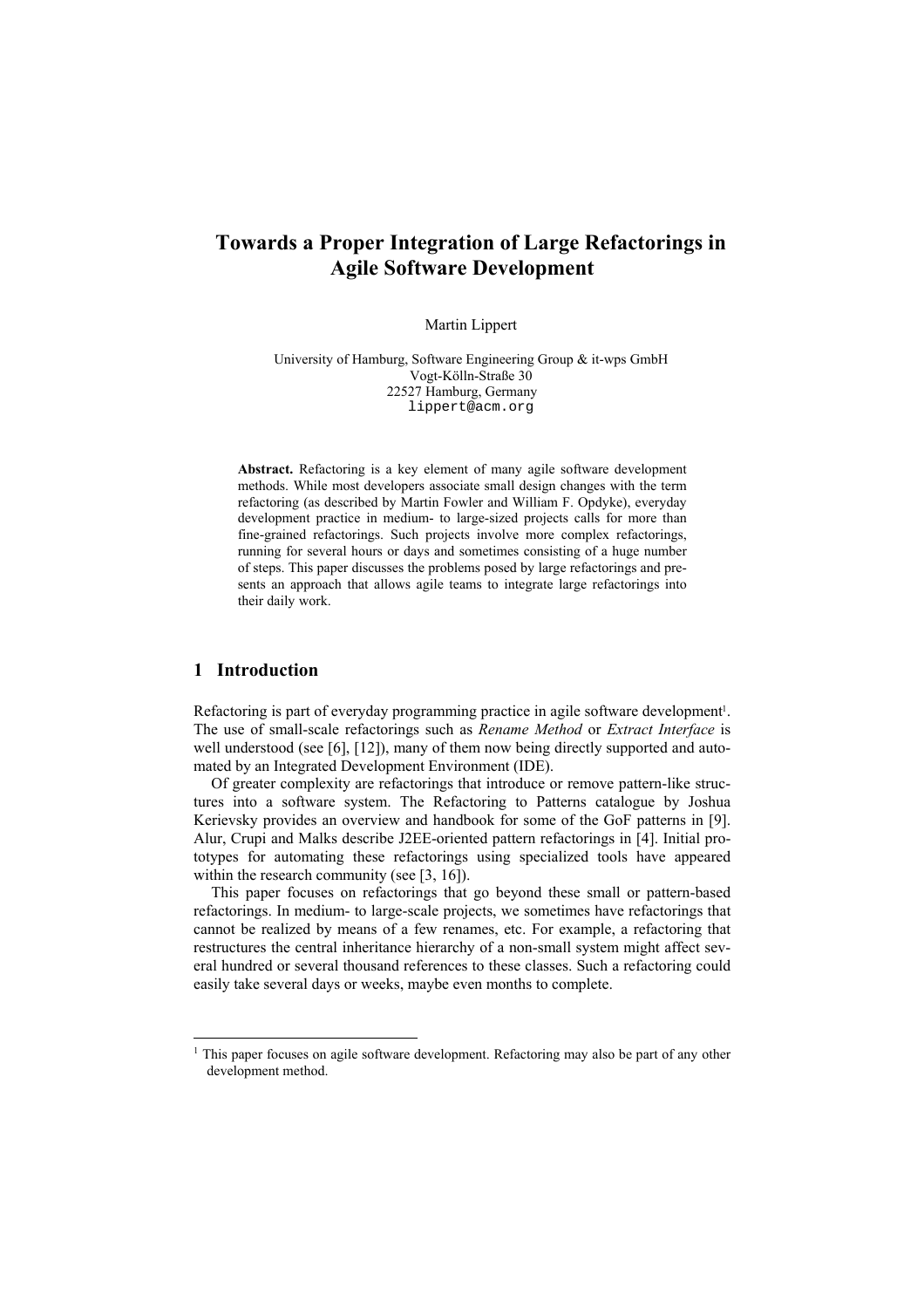# **Towards a Proper Integration of Large Refactorings in Agile Software Development**

Martin Lippert

University of Hamburg, Software Engineering Group & it-wps GmbH Vogt-Kölln-Straße 30 22527 Hamburg, Germany lippert@acm.org

**Abstract.** Refactoring is a key element of many agile software development methods. While most developers associate small design changes with the term refactoring (as described by Martin Fowler and William F. Opdyke), everyday development practice in medium- to large-sized projects calls for more than fine-grained refactorings. Such projects involve more complex refactorings, running for several hours or days and sometimes consisting of a huge number of steps. This paper discusses the problems posed by large refactorings and presents an approach that allows agile teams to integrate large refactorings into their daily work.

# **1 Introduction**

l

Refactoring is part of everyday programming practice in agile software development<sup>1</sup>. The use of small-scale refactorings such as *Rename Method* or *Extract Interface* is well understood (see [6], [12]), many of them now being directly supported and automated by an Integrated Development Environment (IDE).

Of greater complexity are refactorings that introduce or remove pattern-like structures into a software system. The Refactoring to Patterns catalogue by Joshua Kerievsky provides an overview and handbook for some of the GoF patterns in [9]. Alur, Crupi and Malks describe J2EE-oriented pattern refactorings in [4]. Initial prototypes for automating these refactorings using specialized tools have appeared within the research community (see [3, 16]).

This paper focuses on refactorings that go beyond these small or pattern-based refactorings. In medium- to large-scale projects, we sometimes have refactorings that cannot be realized by means of a few renames, etc. For example, a refactoring that restructures the central inheritance hierarchy of a non-small system might affect several hundred or several thousand references to these classes. Such a refactoring could easily take several days or weeks, maybe even months to complete.

<sup>&</sup>lt;sup>1</sup> This paper focuses on agile software development. Refactoring may also be part of any other development method.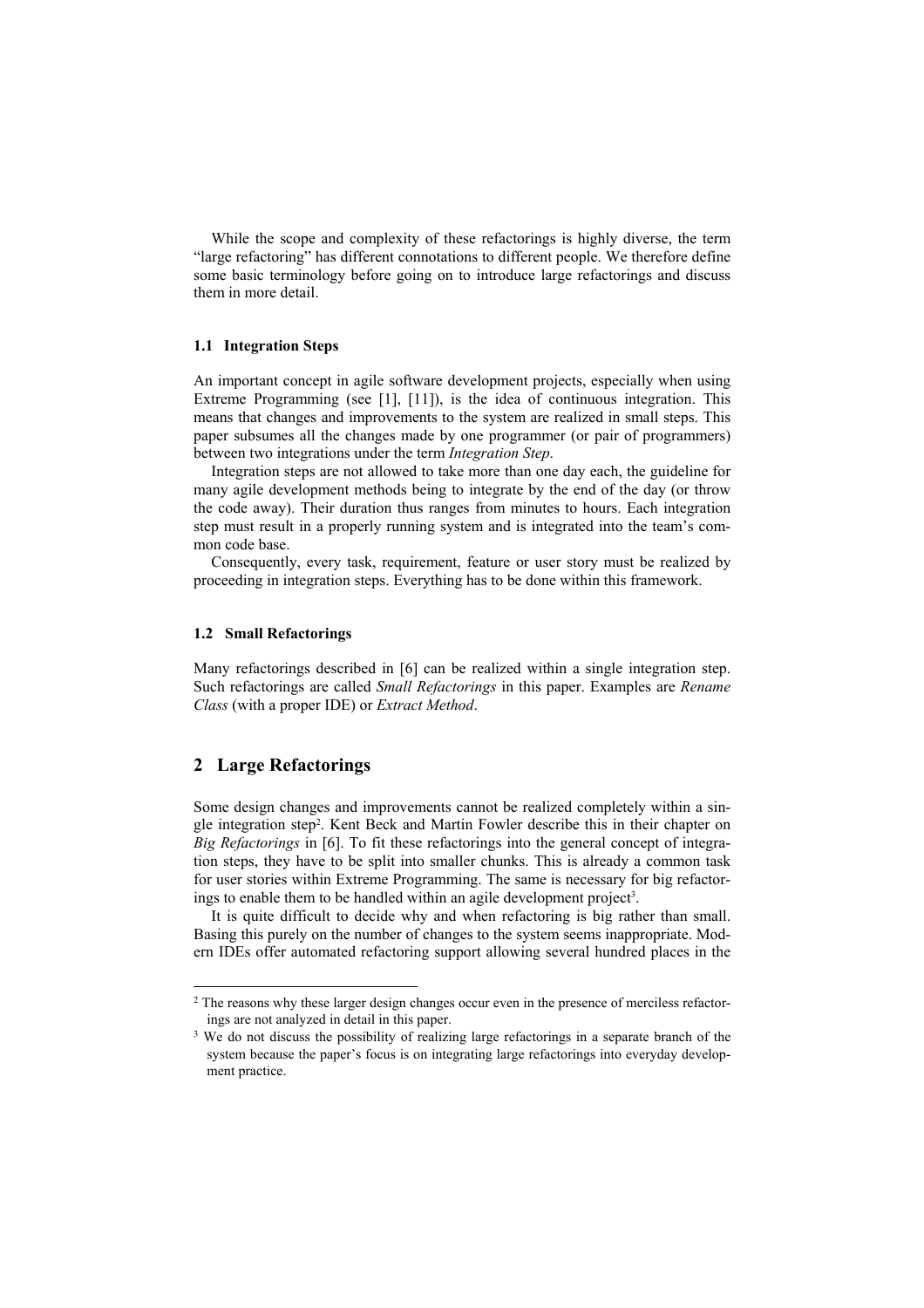While the scope and complexity of these refactorings is highly diverse, the term "large refactoring" has different connotations to different people. We therefore define some basic terminology before going on to introduce large refactorings and discuss them in more detail.

#### **1.1 Integration Steps**

An important concept in agile software development projects, especially when using Extreme Programming (see [1], [11]), is the idea of continuous integration. This means that changes and improvements to the system are realized in small steps. This paper subsumes all the changes made by one programmer (or pair of programmers) between two integrations under the term *Integration Step*.

Integration steps are not allowed to take more than one day each, the guideline for many agile development methods being to integrate by the end of the day (or throw the code away). Their duration thus ranges from minutes to hours. Each integration step must result in a properly running system and is integrated into the team's common code base.

Consequently, every task, requirement, feature or user story must be realized by proceeding in integration steps. Everything has to be done within this framework.

#### **1.2 Small Refactorings**

Many refactorings described in [6] can be realized within a single integration step. Such refactorings are called *Small Refactorings* in this paper. Examples are *Rename Class* (with a proper IDE) or *Extract Method*.

## **2 Large Refactorings**

l

Some design changes and improvements cannot be realized completely within a single integration step2. Kent Beck and Martin Fowler describe this in their chapter on *Big Refactorings* in [6]. To fit these refactorings into the general concept of integration steps, they have to be split into smaller chunks. This is already a common task for user stories within Extreme Programming. The same is necessary for big refactorings to enable them to be handled within an agile development project<sup>3</sup>.

It is quite difficult to decide why and when refactoring is big rather than small. Basing this purely on the number of changes to the system seems inappropriate. Modern IDEs offer automated refactoring support allowing several hundred places in the

<sup>&</sup>lt;sup>2</sup> The reasons why these larger design changes occur even in the presence of merciless refactorings are not analyzed in detail in this paper.<br><sup>3</sup> We do not discuss the possibility of realizing large refactorings in a separate branch of the

system because the paper's focus is on integrating large refactorings into everyday development practice.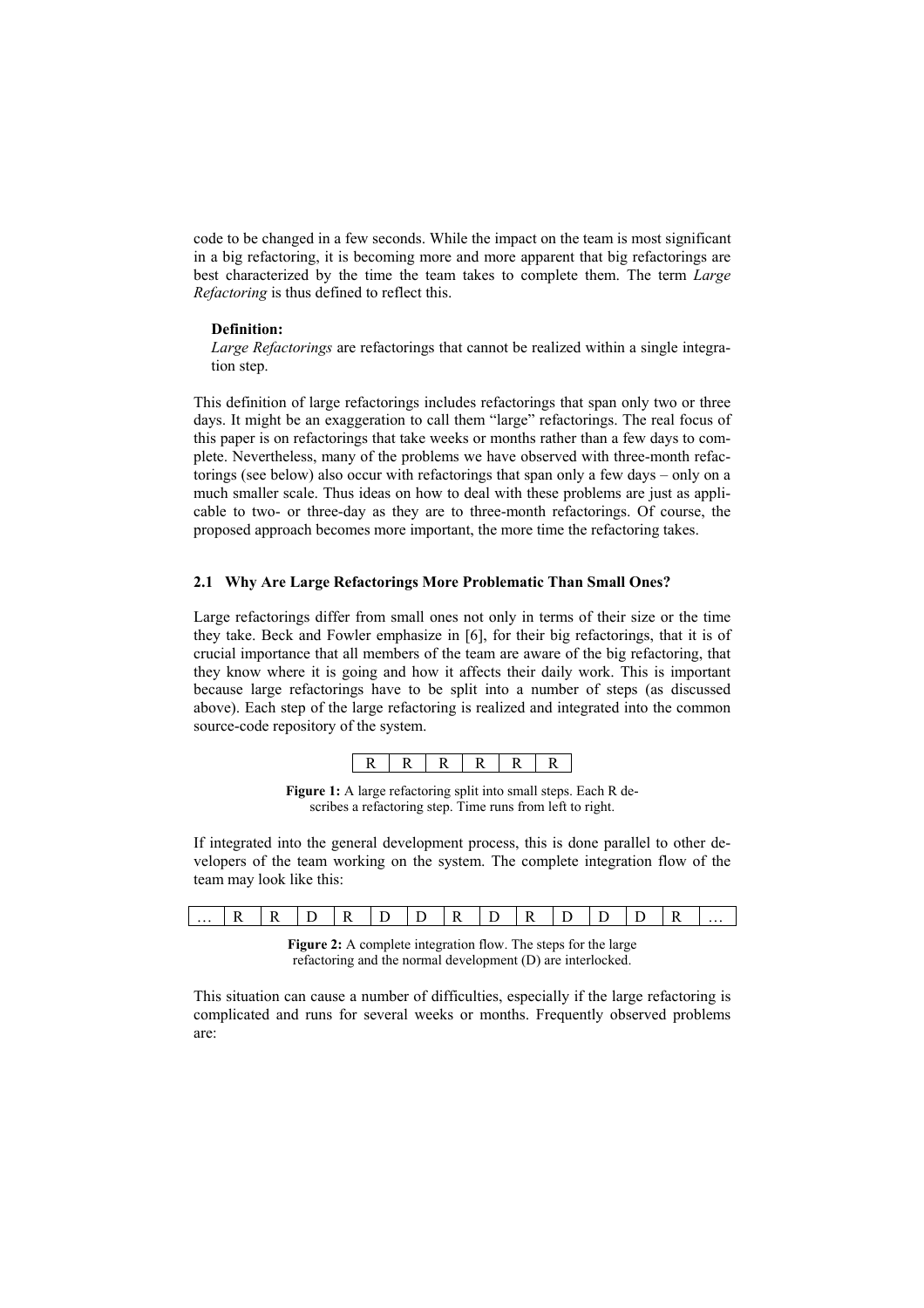code to be changed in a few seconds. While the impact on the team is most significant in a big refactoring, it is becoming more and more apparent that big refactorings are best characterized by the time the team takes to complete them. The term *Large Refactoring* is thus defined to reflect this.

#### **Definition:**

*Large Refactorings* are refactorings that cannot be realized within a single integration step.

This definition of large refactorings includes refactorings that span only two or three days. It might be an exaggeration to call them "large" refactorings. The real focus of this paper is on refactorings that take weeks or months rather than a few days to complete. Nevertheless, many of the problems we have observed with three-month refactorings (see below) also occur with refactorings that span only a few days – only on a much smaller scale. Thus ideas on how to deal with these problems are just as applicable to two- or three-day as they are to three-month refactorings. Of course, the proposed approach becomes more important, the more time the refactoring takes.

## **2.1 Why Are Large Refactorings More Problematic Than Small Ones?**

Large refactorings differ from small ones not only in terms of their size or the time they take. Beck and Fowler emphasize in [6], for their big refactorings, that it is of crucial importance that all members of the team are aware of the big refactoring, that they know where it is going and how it affects their daily work. This is important because large refactorings have to be split into a number of steps (as discussed above). Each step of the large refactoring is realized and integrated into the common source-code repository of the system.



Figure 1: A large refactoring split into small steps. Each R describes a refactoring step. Time runs from left to right.

If integrated into the general development process, this is done parallel to other developers of the team working on the system. The complete integration flow of the team may look like this:

|  |  | $\ldots$ R R D R D D R D R D R D D D D R $\ldots$ |  |  |  |  |  |
|--|--|---------------------------------------------------|--|--|--|--|--|
|  |  |                                                   |  |  |  |  |  |

Figure 2: A complete integration flow. The steps for the large refactoring and the normal development (D) are interlocked.

This situation can cause a number of difficulties, especially if the large refactoring is complicated and runs for several weeks or months. Frequently observed problems are: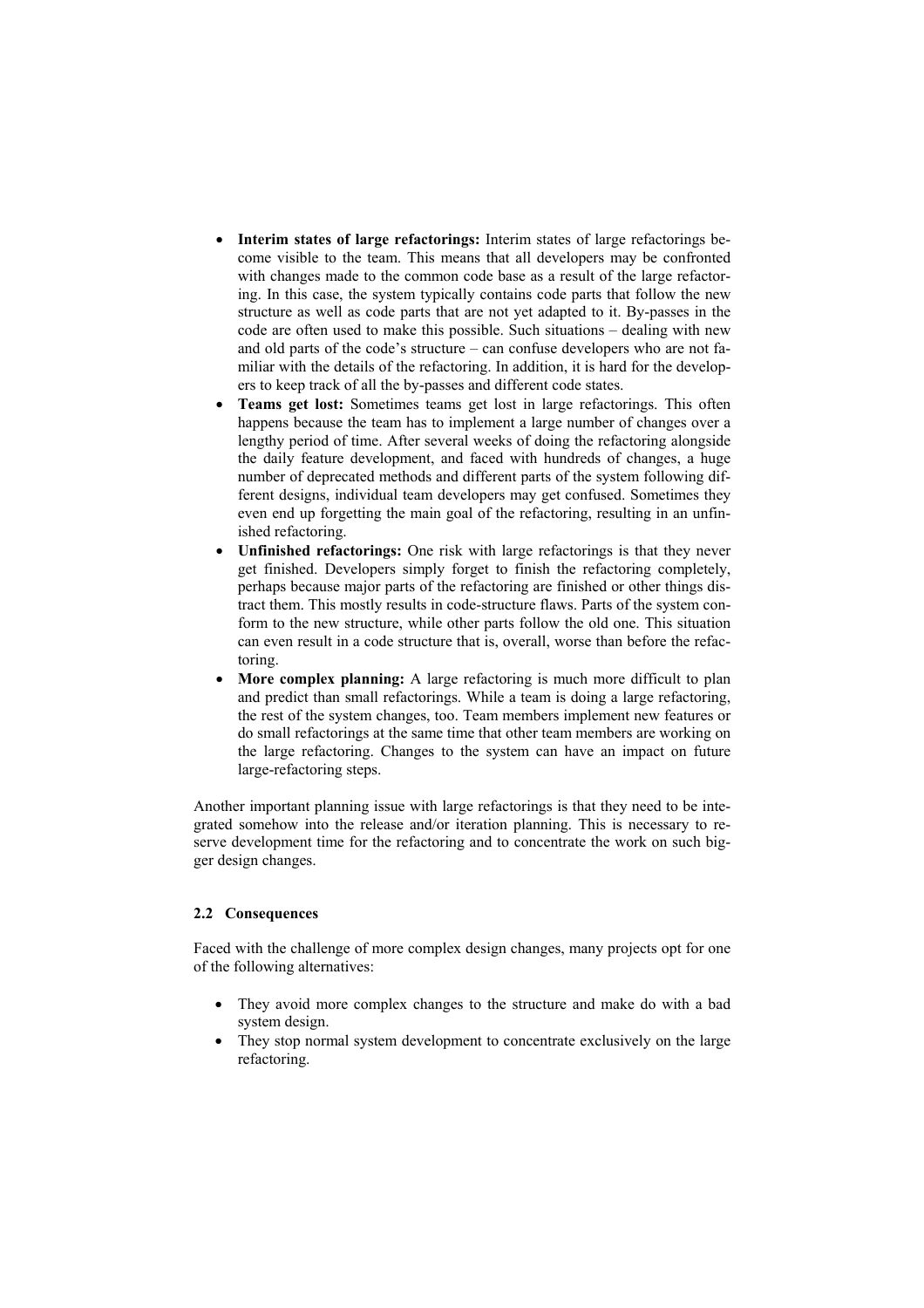- **Interim states of large refactorings:** Interim states of large refactorings become visible to the team. This means that all developers may be confronted with changes made to the common code base as a result of the large refactoring. In this case, the system typically contains code parts that follow the new structure as well as code parts that are not yet adapted to it. By-passes in the code are often used to make this possible. Such situations – dealing with new and old parts of the code's structure – can confuse developers who are not familiar with the details of the refactoring. In addition, it is hard for the developers to keep track of all the by-passes and different code states.
- **Teams get lost:** Sometimes teams get lost in large refactorings. This often happens because the team has to implement a large number of changes over a lengthy period of time. After several weeks of doing the refactoring alongside the daily feature development, and faced with hundreds of changes, a huge number of deprecated methods and different parts of the system following different designs, individual team developers may get confused. Sometimes they even end up forgetting the main goal of the refactoring, resulting in an unfinished refactoring.
- **Unfinished refactorings:** One risk with large refactorings is that they never get finished. Developers simply forget to finish the refactoring completely, perhaps because major parts of the refactoring are finished or other things distract them. This mostly results in code-structure flaws. Parts of the system conform to the new structure, while other parts follow the old one. This situation can even result in a code structure that is, overall, worse than before the refactoring.
- **More complex planning:** A large refactoring is much more difficult to plan and predict than small refactorings. While a team is doing a large refactoring, the rest of the system changes, too. Team members implement new features or do small refactorings at the same time that other team members are working on the large refactoring. Changes to the system can have an impact on future large-refactoring steps.

Another important planning issue with large refactorings is that they need to be integrated somehow into the release and/or iteration planning. This is necessary to reserve development time for the refactoring and to concentrate the work on such bigger design changes.

## **2.2 Consequences**

Faced with the challenge of more complex design changes, many projects opt for one of the following alternatives:

- They avoid more complex changes to the structure and make do with a bad system design.
- They stop normal system development to concentrate exclusively on the large refactoring.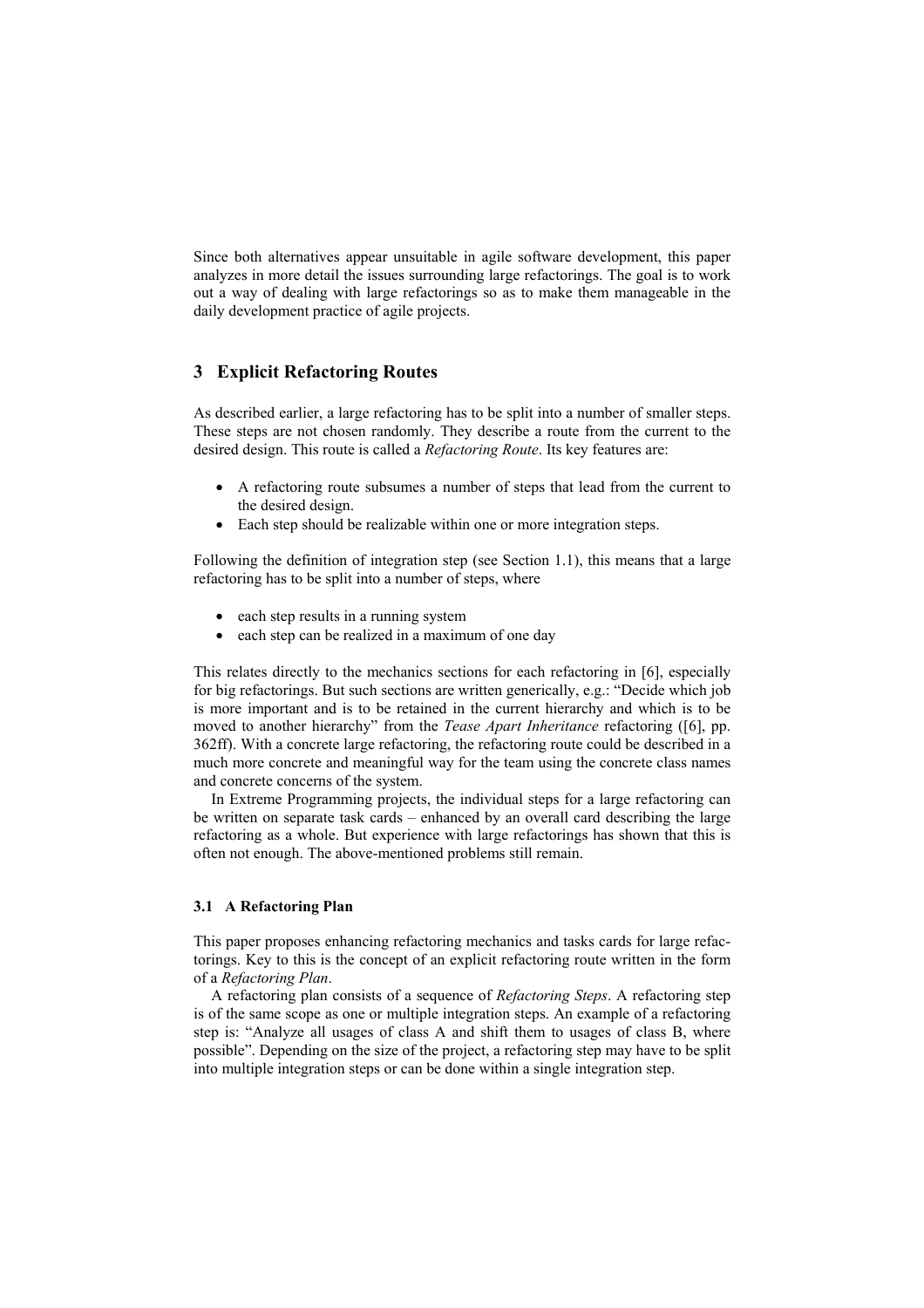Since both alternatives appear unsuitable in agile software development, this paper analyzes in more detail the issues surrounding large refactorings. The goal is to work out a way of dealing with large refactorings so as to make them manageable in the daily development practice of agile projects.

# **3 Explicit Refactoring Routes**

As described earlier, a large refactoring has to be split into a number of smaller steps. These steps are not chosen randomly. They describe a route from the current to the desired design. This route is called a *Refactoring Route*. Its key features are:

- A refactoring route subsumes a number of steps that lead from the current to the desired design.
- Each step should be realizable within one or more integration steps.

Following the definition of integration step (see Section 1.1), this means that a large refactoring has to be split into a number of steps, where

- each step results in a running system
- each step can be realized in a maximum of one day

This relates directly to the mechanics sections for each refactoring in [6], especially for big refactorings. But such sections are written generically, e.g.: "Decide which job is more important and is to be retained in the current hierarchy and which is to be moved to another hierarchy" from the *Tease Apart Inheritance* refactoring ([6], pp. 362ff). With a concrete large refactoring, the refactoring route could be described in a much more concrete and meaningful way for the team using the concrete class names and concrete concerns of the system.

In Extreme Programming projects, the individual steps for a large refactoring can be written on separate task cards – enhanced by an overall card describing the large refactoring as a whole. But experience with large refactorings has shown that this is often not enough. The above-mentioned problems still remain.

#### **3.1 A Refactoring Plan**

This paper proposes enhancing refactoring mechanics and tasks cards for large refactorings. Key to this is the concept of an explicit refactoring route written in the form of a *Refactoring Plan*.

A refactoring plan consists of a sequence of *Refactoring Steps*. A refactoring step is of the same scope as one or multiple integration steps. An example of a refactoring step is: "Analyze all usages of class A and shift them to usages of class B, where possible". Depending on the size of the project, a refactoring step may have to be split into multiple integration steps or can be done within a single integration step.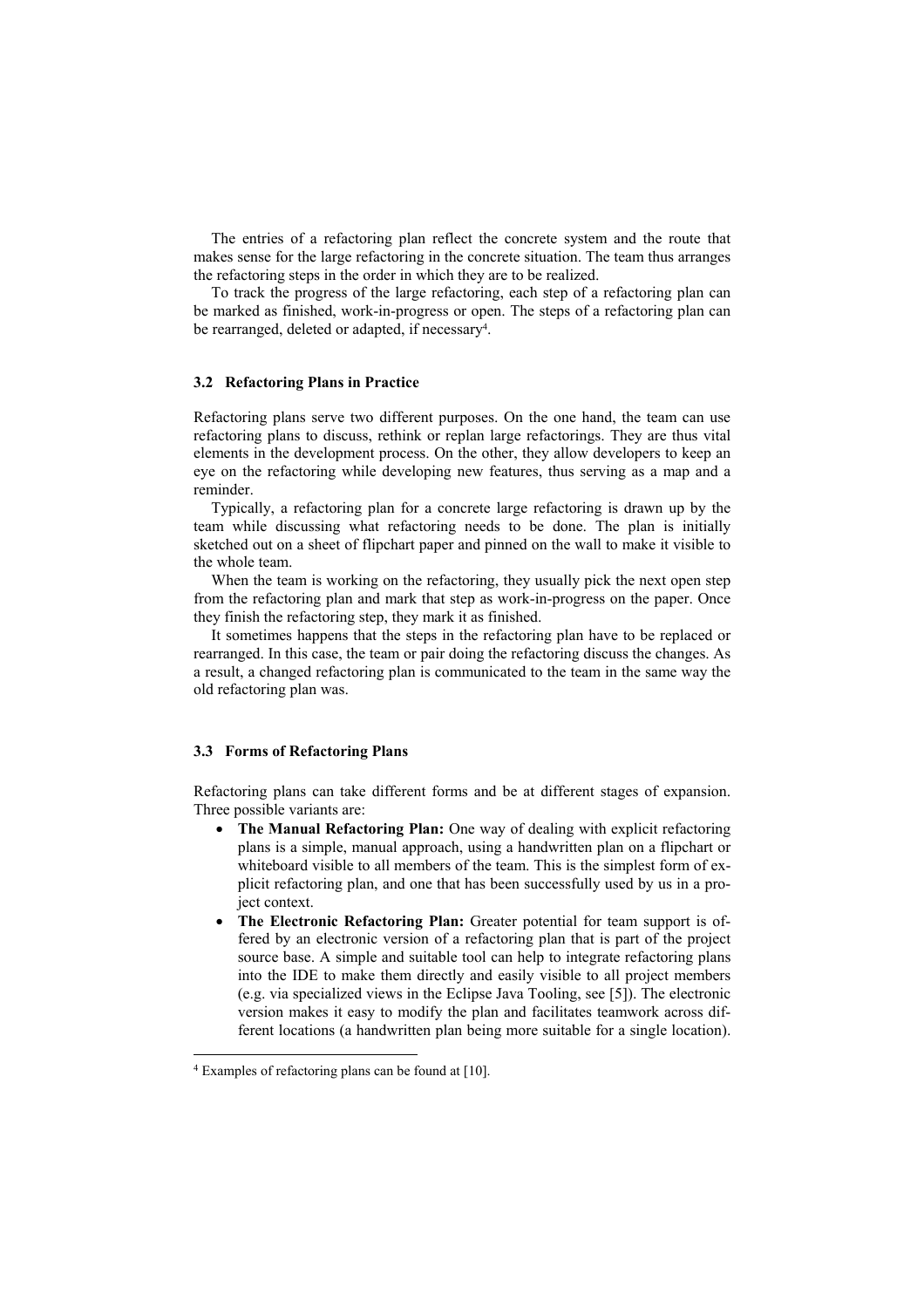The entries of a refactoring plan reflect the concrete system and the route that makes sense for the large refactoring in the concrete situation. The team thus arranges the refactoring steps in the order in which they are to be realized.

To track the progress of the large refactoring, each step of a refactoring plan can be marked as finished, work-in-progress or open. The steps of a refactoring plan can be rearranged, deleted or adapted, if necessary<sup>4</sup>.

## **3.2 Refactoring Plans in Practice**

Refactoring plans serve two different purposes. On the one hand, the team can use refactoring plans to discuss, rethink or replan large refactorings. They are thus vital elements in the development process. On the other, they allow developers to keep an eye on the refactoring while developing new features, thus serving as a map and a reminder.

Typically, a refactoring plan for a concrete large refactoring is drawn up by the team while discussing what refactoring needs to be done. The plan is initially sketched out on a sheet of flipchart paper and pinned on the wall to make it visible to the whole team.

When the team is working on the refactoring, they usually pick the next open step from the refactoring plan and mark that step as work-in-progress on the paper. Once they finish the refactoring step, they mark it as finished.

It sometimes happens that the steps in the refactoring plan have to be replaced or rearranged. In this case, the team or pair doing the refactoring discuss the changes. As a result, a changed refactoring plan is communicated to the team in the same way the old refactoring plan was.

#### **3.3 Forms of Refactoring Plans**

Refactoring plans can take different forms and be at different stages of expansion. Three possible variants are:

- **The Manual Refactoring Plan:** One way of dealing with explicit refactoring plans is a simple, manual approach, using a handwritten plan on a flipchart or whiteboard visible to all members of the team. This is the simplest form of explicit refactoring plan, and one that has been successfully used by us in a project context.
- **The Electronic Refactoring Plan:** Greater potential for team support is offered by an electronic version of a refactoring plan that is part of the project source base. A simple and suitable tool can help to integrate refactoring plans into the IDE to make them directly and easily visible to all project members (e.g. via specialized views in the Eclipse Java Tooling, see [5]). The electronic version makes it easy to modify the plan and facilitates teamwork across different locations (a handwritten plan being more suitable for a single location).

l

<sup>4</sup> Examples of refactoring plans can be found at [10].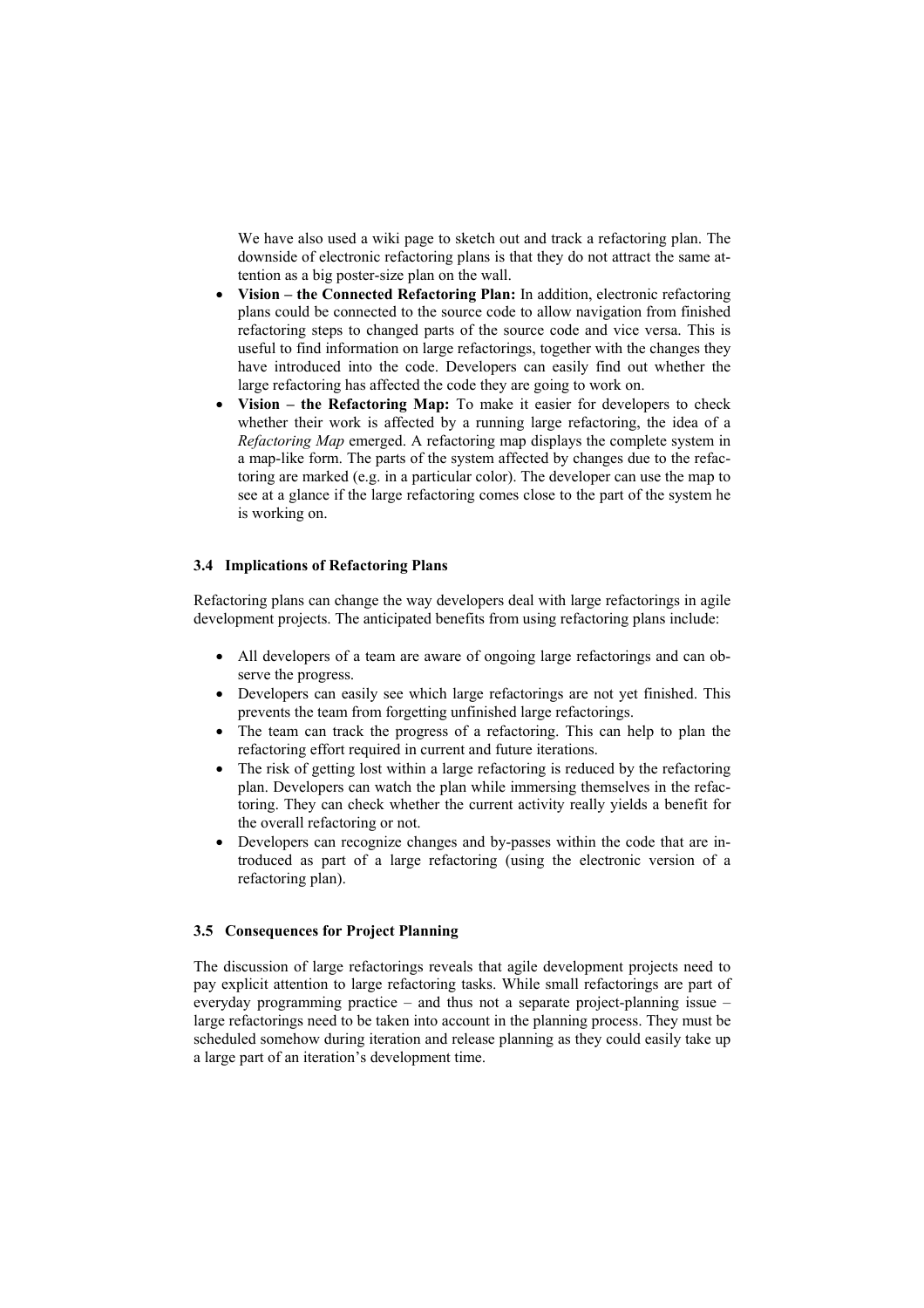We have also used a wiki page to sketch out and track a refactoring plan. The downside of electronic refactoring plans is that they do not attract the same attention as a big poster-size plan on the wall.

- **Vision the Connected Refactoring Plan:** In addition, electronic refactoring plans could be connected to the source code to allow navigation from finished refactoring steps to changed parts of the source code and vice versa. This is useful to find information on large refactorings, together with the changes they have introduced into the code. Developers can easily find out whether the large refactoring has affected the code they are going to work on.
- **Vision the Refactoring Map:** To make it easier for developers to check whether their work is affected by a running large refactoring, the idea of a *Refactoring Map* emerged. A refactoring map displays the complete system in a map-like form. The parts of the system affected by changes due to the refactoring are marked (e.g. in a particular color). The developer can use the map to see at a glance if the large refactoring comes close to the part of the system he is working on.

#### **3.4 Implications of Refactoring Plans**

Refactoring plans can change the way developers deal with large refactorings in agile development projects. The anticipated benefits from using refactoring plans include:

- All developers of a team are aware of ongoing large refactorings and can observe the progress.
- Developers can easily see which large refactorings are not yet finished. This prevents the team from forgetting unfinished large refactorings.
- The team can track the progress of a refactoring. This can help to plan the refactoring effort required in current and future iterations.
- The risk of getting lost within a large refactoring is reduced by the refactoring plan. Developers can watch the plan while immersing themselves in the refactoring. They can check whether the current activity really yields a benefit for the overall refactoring or not.
- Developers can recognize changes and by-passes within the code that are introduced as part of a large refactoring (using the electronic version of a refactoring plan).

# **3.5 Consequences for Project Planning**

The discussion of large refactorings reveals that agile development projects need to pay explicit attention to large refactoring tasks. While small refactorings are part of everyday programming practice – and thus not a separate project-planning issue – large refactorings need to be taken into account in the planning process. They must be scheduled somehow during iteration and release planning as they could easily take up a large part of an iteration's development time.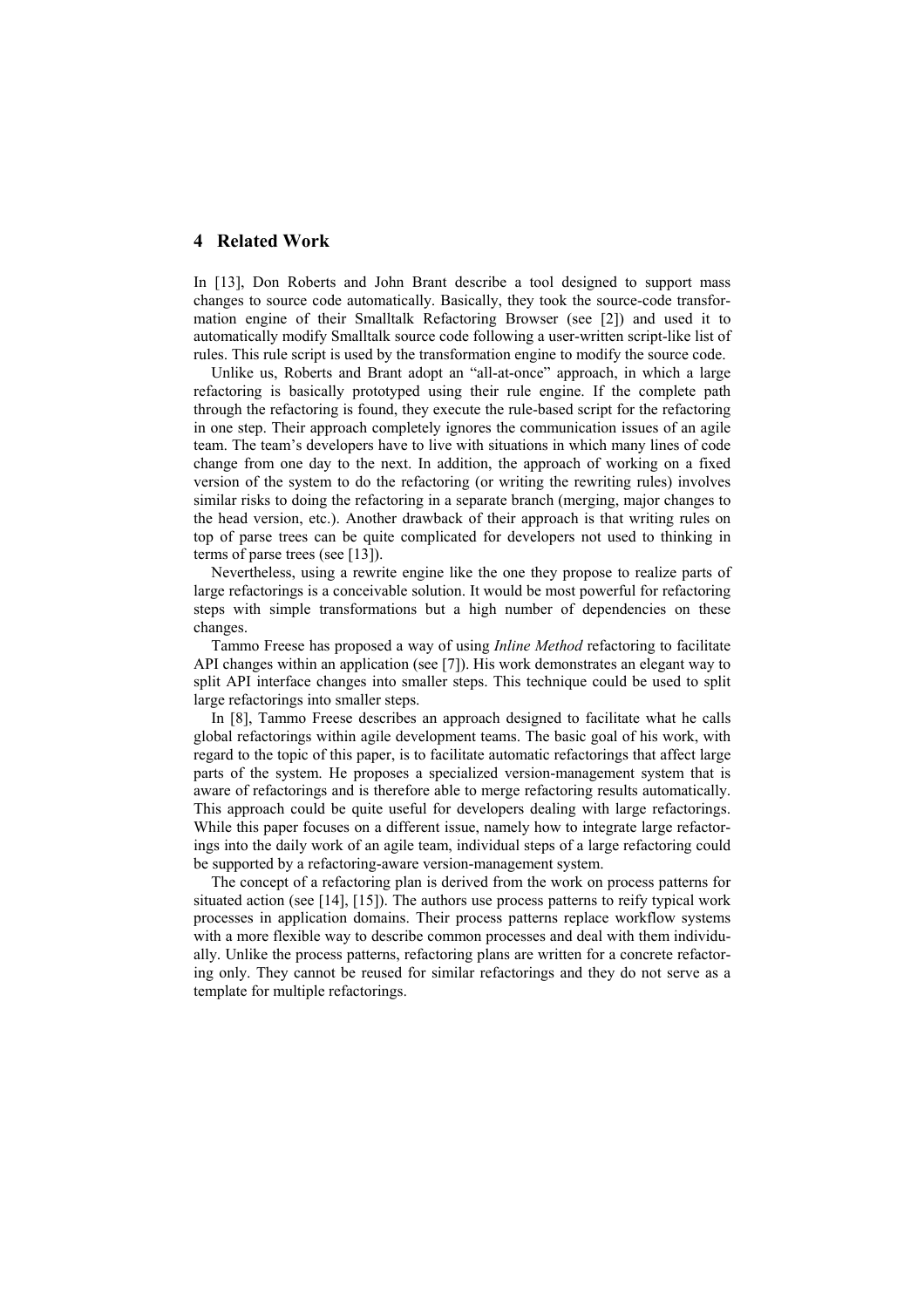# **4 Related Work**

In [13], Don Roberts and John Brant describe a tool designed to support mass changes to source code automatically. Basically, they took the source-code transformation engine of their Smalltalk Refactoring Browser (see [2]) and used it to automatically modify Smalltalk source code following a user-written script-like list of rules. This rule script is used by the transformation engine to modify the source code.

Unlike us, Roberts and Brant adopt an "all-at-once" approach, in which a large refactoring is basically prototyped using their rule engine. If the complete path through the refactoring is found, they execute the rule-based script for the refactoring in one step. Their approach completely ignores the communication issues of an agile team. The team's developers have to live with situations in which many lines of code change from one day to the next. In addition, the approach of working on a fixed version of the system to do the refactoring (or writing the rewriting rules) involves similar risks to doing the refactoring in a separate branch (merging, major changes to the head version, etc.). Another drawback of their approach is that writing rules on top of parse trees can be quite complicated for developers not used to thinking in terms of parse trees (see [13]).

Nevertheless, using a rewrite engine like the one they propose to realize parts of large refactorings is a conceivable solution. It would be most powerful for refactoring steps with simple transformations but a high number of dependencies on these changes.

Tammo Freese has proposed a way of using *Inline Method* refactoring to facilitate API changes within an application (see [7]). His work demonstrates an elegant way to split API interface changes into smaller steps. This technique could be used to split large refactorings into smaller steps.

In [8], Tammo Freese describes an approach designed to facilitate what he calls global refactorings within agile development teams. The basic goal of his work, with regard to the topic of this paper, is to facilitate automatic refactorings that affect large parts of the system. He proposes a specialized version-management system that is aware of refactorings and is therefore able to merge refactoring results automatically. This approach could be quite useful for developers dealing with large refactorings. While this paper focuses on a different issue, namely how to integrate large refactorings into the daily work of an agile team, individual steps of a large refactoring could be supported by a refactoring-aware version-management system.

The concept of a refactoring plan is derived from the work on process patterns for situated action (see [14], [15]). The authors use process patterns to reify typical work processes in application domains. Their process patterns replace workflow systems with a more flexible way to describe common processes and deal with them individually. Unlike the process patterns, refactoring plans are written for a concrete refactoring only. They cannot be reused for similar refactorings and they do not serve as a template for multiple refactorings.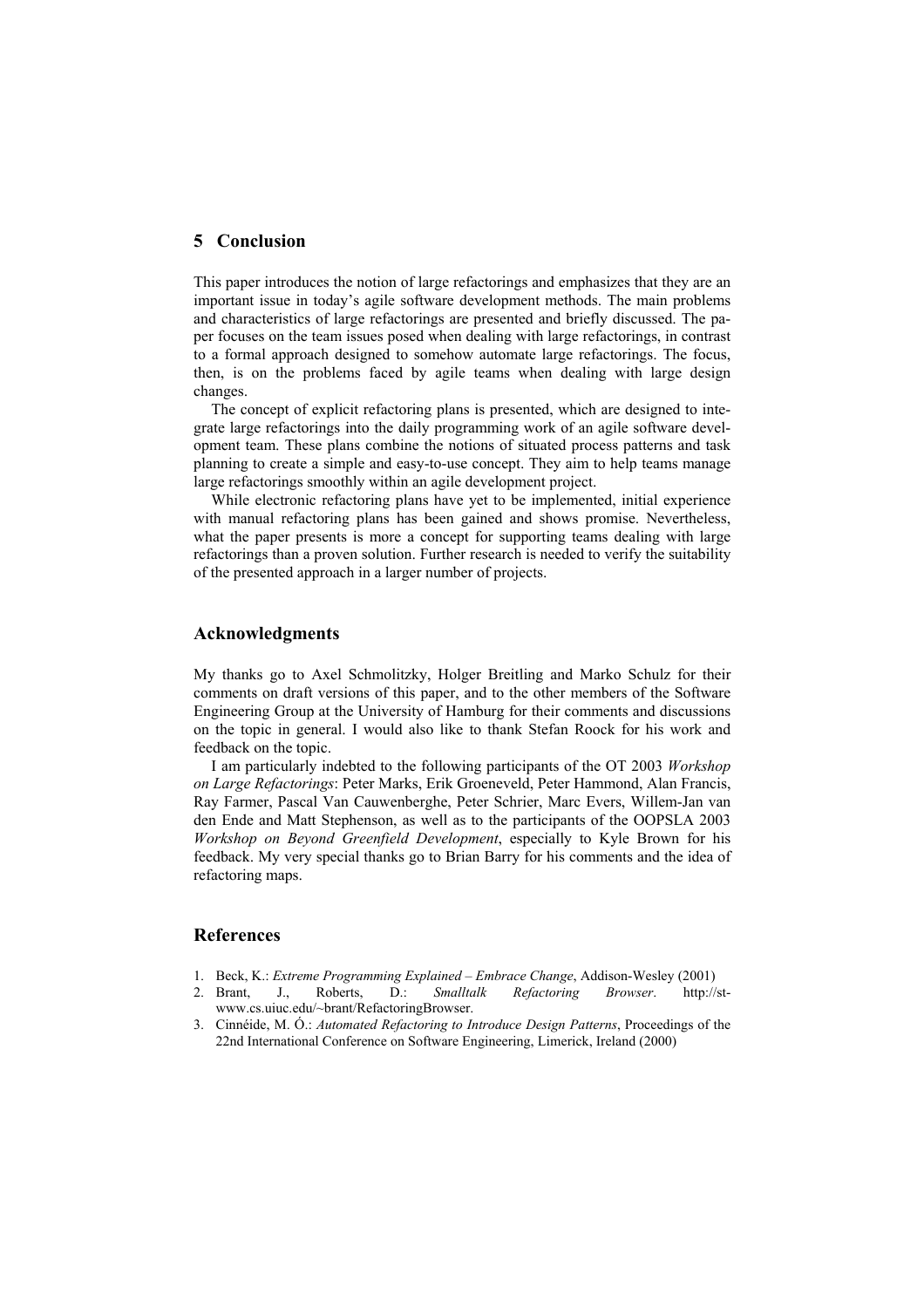# **5 Conclusion**

This paper introduces the notion of large refactorings and emphasizes that they are an important issue in today's agile software development methods. The main problems and characteristics of large refactorings are presented and briefly discussed. The paper focuses on the team issues posed when dealing with large refactorings, in contrast to a formal approach designed to somehow automate large refactorings. The focus, then, is on the problems faced by agile teams when dealing with large design changes.

The concept of explicit refactoring plans is presented, which are designed to integrate large refactorings into the daily programming work of an agile software development team. These plans combine the notions of situated process patterns and task planning to create a simple and easy-to-use concept. They aim to help teams manage large refactorings smoothly within an agile development project.

While electronic refactoring plans have yet to be implemented, initial experience with manual refactoring plans has been gained and shows promise. Nevertheless, what the paper presents is more a concept for supporting teams dealing with large refactorings than a proven solution. Further research is needed to verify the suitability of the presented approach in a larger number of projects.

## **Acknowledgments**

My thanks go to Axel Schmolitzky, Holger Breitling and Marko Schulz for their comments on draft versions of this paper, and to the other members of the Software Engineering Group at the University of Hamburg for their comments and discussions on the topic in general. I would also like to thank Stefan Roock for his work and feedback on the topic.

I am particularly indebted to the following participants of the OT 2003 *Workshop on Large Refactorings*: Peter Marks, Erik Groeneveld, Peter Hammond, Alan Francis, Ray Farmer, Pascal Van Cauwenberghe, Peter Schrier, Marc Evers, Willem-Jan van den Ende and Matt Stephenson, as well as to the participants of the OOPSLA 2003 *Workshop on Beyond Greenfield Development*, especially to Kyle Brown for his feedback. My very special thanks go to Brian Barry for his comments and the idea of refactoring maps.

#### **References**

- 1. Beck, K.: *Extreme Programming Explained Embrace Change*, Addison-Wesley (2001)
- 2. Brant, J., Roberts, D.: *Smalltalk Refactoring Browser*. http://stwww.cs.uiuc.edu/~brant/RefactoringBrowser.
- 3. Cinnéide, M. Ó.: *Automated Refactoring to Introduce Design Patterns*, Proceedings of the 22nd International Conference on Software Engineering, Limerick, Ireland (2000)